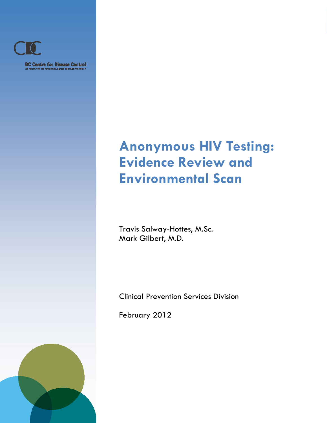

**BC Centre for Disease Control**<br>M ABBICY OF THE PROVINCIAL HEADER SERVICES AUTHORITY

*Clinical Prevention Services*

# **Anonymous HIV Testing: Evidence Review and Environmental Scan**

Travis Salway-Hottes, M.Sc. Mark Gilbert, M.D.

Clinical Prevention Services Division

February 2012

*Anonymous HIV Testing: Evidence Review and Environmental Scan* 

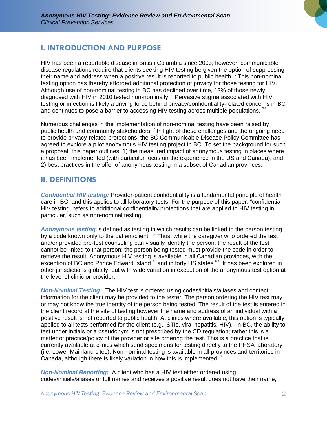

# **I. INTRODUCTION AND PURPOSE**

HIV has been a reportable disease in British Columbia since 2003; however, communicable disease regulations require that clients seeking HIV testing be given the option of suppressing their name and address when a positive result is reported to public health. <sup>1</sup> This non-nominal testing option has thereby afforded additional protection of privacy for those testing for HIV. Although use of non-nominal testing in BC has declined over time, 13% of those newly diagnosed with HIV in 2010 tested non-nominally.  $^{2}$  Pervasive stigma associated with HIV testing or infection is likely a driving force behind privacy/confidentiality-related concerns in BC and continues to pose a barrier to accessing HIV testing across multiple populations.  $3-5$ 

Numerous challenges in the implementation of non-nominal testing have been raised by public health and community stakeholders.  $^{2}$  In light of these challenges and the ongoing need to provide privacy-related protections, the BC Communicable Disease Policy Committee has agreed to explore a pilot anonymous HIV testing project in BC. To set the background for such a proposal, this paper outlines: 1) the measured impact of anonymous testing in places where it has been implemented (with particular focus on the experience in the US and Canada), and 2) best practices in the offer of anonymous testing in a subset of Canadian provinces.

# **II. DEFINITIONS**

*Confidential HIV testing:* Provider-patient confidentiality is a fundamental principle of health care in BC, and this applies to all laboratory tests. For the purpose of this paper, "confidential HIV testing" refers to additional confidentiality protections that are applied to HIV testing in particular, such as non-nominal testing.

*Anonymous testing* is defined as testing in which results can be linked to the person testing by a code known only to the patient/client. <sup>6,7</sup> Thus, while the caregiver who ordered the test and/or provided pre-test counseling can visually identify the person, the result of the test cannot be linked to that person; the person being tested must provide the code in order to retrieve the result. Anonymous HIV testing is available in all Canadian provinces, with the exception of BC and Prince Edward Island  $^7$ , and in forty US states  $^{8,9}$ . It has been explored in other jurisdictions globally, but with wide variation in execution of the anonymous test option at the level of clinic or provider.  $10-12$ 

*Non-Nominal Testing:* The HIV test is ordered using codes/initials/aliases and contact information for the client may be provided to the tester. The person ordering the HIV test may or may not know the true identity of the person being tested. The result of the test is entered in the client record at the site of testing however the name and address of an individual with a positive result is not reported to public health. At clinics where available, this option is typically applied to all tests performed for the client (e.g., STIs, viral hepatitis, HIV). In BC, the ability to test under initials or a pseudonym is not prescribed by the CD regulation; rather this is a matter of practice/policy of the provider or site ordering the test. This is a practice that is currently available at clinics which send specimens for testing directly to the PHSA laboratory (i.e. Lower Mainland sites). Non-nominal testing is available in all provinces and territories in Canada, although there is likely variation in how this is implemented.<sup>7</sup>

*Non-Nominal Reporting:* A client who has a HIV test either ordered using codes/initials/aliases or full names and receives a positive result does not have their name,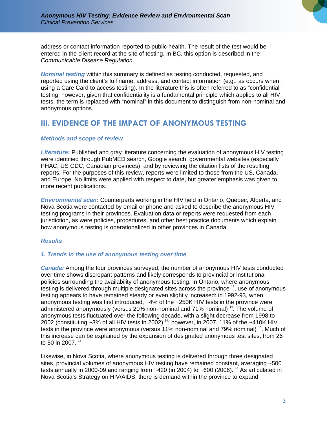address or contact information reported to public health. The result of the test would be entered in the client record at the site of testing. In BC, this option is described in the *Communicable Disease Regulation*.

*Nominal testing* within this summary is defined as testing conducted, requested, and reported using the client's full name, address, and contact information (e.g., as occurs when using a Care Card to access testing). In the literature this is often referred to as "confidential" testing; however, given that confidentiality is a fundamental principle which applies to all HIV tests, the term is replaced with "nominal" in this document to distinguish from non-nominal and anonymous options.

# **III. EVIDENCE OF THE IMPACT OF ANONYMOUS TESTING**

# *Methods and scope of review*

*Literature:* Published and gray literature concerning the evaluation of anonymous HIV testing were identified through PubMED search, Google search, governmental websites (especially PHAC, US CDC, Canadian provinces), and by reviewing the citation lists of the resulting reports. For the purposes of this review, reports were limited to those from the US, Canada, and Europe. No limits were applied with respect to date, but greater emphasis was given to more recent publications.

*Environmental scan:* Counterparts working in the HIV field in Ontario, Quebec, Alberta, and Nova Scotia were contacted by email or phone and asked to describe the anonymous HIV testing programs in their provinces. Evaluation data or reports were requested from each jurisdiction, as were policies, procedures, and other best practice documents which explain how anonymous testing is operationalized in other provinces in Canada.

#### *Results*

# *1. Trends in the use of anonymous testing over time*

*Canada:* Among the four provinces surveyed, the number of anonymous HIV tests conducted over time shows discrepant patterns and likely corresponds to provincial or institutional policies surrounding the availability of anonymous testing. In Ontario, where anonymous testing is delivered through multiple designated sites across the province <sup>13</sup>, use of anonymous testing appears to have remained steady or even slightly increased: in 1992-93, when anonymous testing was first introduced, ~4% of the ~250K HIV tests in the province were administered anonymously (versus 20% non-nominal and 71% nominal)<sup>14</sup>. The volume of anonymous tests fluctuated over the following decade, with a slight decrease from 1998 to 2002 (constituting  $\sim$ 3% of all HIV tests in 2002)<sup>14</sup>; however, in 2007, 11% of the  $\sim$ 410K HIV tests in the province were anonymous (versus 11% non-nominal and 79% nominal)<sup>15</sup>. Much of this increase can be explained by the expansion of designated anonymous test sites, from 26 to 50 in 2007.<sup>15</sup>

Likewise, in Nova Scotia, where anonymous testing is delivered through three designated sites, provincial volumes of anonymous HIV testing have remained constant, averaging ~500 tests annually in 2000-09 and ranging from  $~120$  (in 2004) to  $~1600$  (2006). <sup>16</sup> As articulated in Nova Scotia's Strategy on HIV/AIDS, there is demand within the province to expand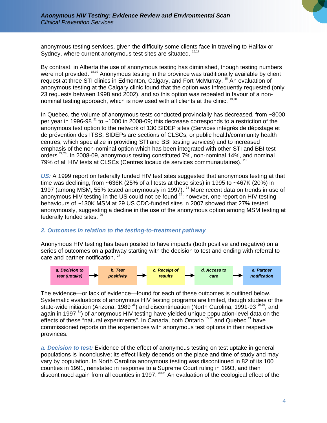anonymous testing services, given the difficulty some clients face in traveling to Halifax or Sydney, where current anonymous test sites are situated. <sup>16,17</sup>

By contrast, in Alberta the use of anonymous testing has diminished, though testing numbers were not provided. <sup>18,19</sup> Anonymous testing in the province was traditionally available by client request at three STI clinics in Edmonton, Calgary, and Fort McMurray.<sup>18</sup> An evaluation of anonymous testing at the Calgary clinic found that the option was infrequently requested (only 23 requests between 1998 and 2002), and so this option was repealed in favour of a nonnominal testing approach, which is now used with all clients at the clinic. <sup>19,20</sup>

In Quebec, the volume of anonymous tests conducted provincially has decreased, from ~8000 per year in 1996-98<sup> $21$ </sup> to ~1000 in 2008-09; this decrease corresponds to a restriction of the anonymous test option to the network of 130 SIDEP sites (Services intégrés de dépistage et de prévention des ITSS; SIDEPs are sections of CLSCs, or public health/community health centres, which specialize in providing STI and BBI testing services) and to increased emphasis of the non-nominal option which has been integrated with other STI and BBI test orders<sup>22,23</sup>. In 2008-09, anonymous testing constituted 7%, non-nominal 14%, and nominal 79% of all HIV tests at CLSCs (Centres locaux de services communautaires). <sup>23</sup>

*US:* A 1999 report on federally funded HIV test sites suggested that anonymous testing at that time was declining, from ~636K (25% of all tests at these sites) in 1995 to ~467K (20%) in 1997 (among MSM, 55% tested anonymously in 1997).<sup>24</sup> More recent data on trends in use of anonymous HIV testing in the US could not be found  $2^5$ ; however, one report on HIV testing behaviours of ~130K MSM at 29 US CDC-funded sites in 2007 showed that 27% tested anonymously, suggesting a decline in the use of the anonymous option among MSM testing at federally funded sites. <sup>26</sup>

# *2. Outcomes in relation to the testing-to-treatment pathway*

Anonymous HIV testing has been posited to have impacts (both positive and negative) on a series of outcomes on a pathway starting with the decision to test and ending with referral to care and partner notification.<sup>27</sup>



The evidence—or lack of evidence—found for each of these outcomes is outlined below. Systematic evaluations of anonymous HIV testing programs are limited, though studies of the state-wide initiation (Arizona, 1989<sup>28</sup>) and discontinuation (North Carolina, 1991-93<sup>29,30</sup>, and again in 1997  $\frac{31}{10}$  of anonymous HIV testing have yielded unique population-level data on the effects of these "natural experiments". In Canada, both Ontario  $15,32$  and Quebec  $21$  have commissioned reports on the experiences with anonymous test options in their respective provinces.

*a. Decision to test:* Evidence of the effect of anonymous testing on test uptake in general populations is inconclusive; its effect likely depends on the place and time of study and may vary by population. In North Carolina anonymous testing was discontinued in 82 of its 100 counties in 1991, reinstated in response to a Supreme Court ruling in 1993, and then discontinued again from all counties in 1997.<sup>30,31</sup> An evaluation of the ecological effect of the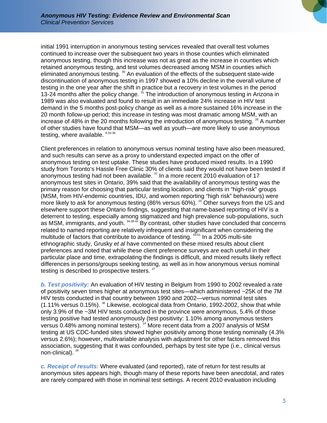initial 1991 interruption in anonymous testing services revealed that overall test volumes continued to increase over the subsequent two years in those counties which eliminated anonymous testing, though this increase was not as great as the increase in counties which retained anonymous testing, and test volumes decreased among MSM in counties which eliminated anonymous testing.<sup>30</sup> An evaluation of the effects of the subsequent state-wide discontinuation of anonymous testing in 1997 showed a 10% decline in the overall volume of testing in the one year after the shift in practice but a recovery in test volumes in the period 13-24 months after the policy change.  $31$  The introduction of anonymous testing in Arizona in 1989 was also evaluated and found to result in an immediate 24% increase in HIV test demand in the 5 months post-policy change as well as a more sustained 16% increase in the 20 month follow-up period; this increase in testing was most dramatic among MSM, with an increase of 48% in the 20 months following the introduction of anonymous testing.  $28$  A number of other studies have found that MSM—as well as youth—are more likely to use anonymous testing, where available.  $8,33-36$ 

Client preferences in relation to anonymous versus nominal testing have also been measured, and such results can serve as a proxy to understand expected impact on the offer of anonymous testing on test uptake. These studies have produced mixed results. In a 1990 study from Toronto's Hassle Free Clinic 30% of clients said they would not have been tested if anonymous testing had not been available.  $37$  In a more recent 2010 evaluation of 17 anonymous test sites in Ontario, 39% said that the availability of anonymous testing was the primary reason for choosing that particular testing location, and clients in "high-risk" groups (MSM, from HIV-endemic countries, IDU, and women reporting "high risk" behaviours) were more likely to ask for anonymous testing (86% versus 60%). <sup>15</sup> Other surveys from the US and elsewhere support these Ontario findings, suggesting that name-based reporting of HIV is a deterrent to testing, especially among stigmatized and high prevalence sub-populations, such as MSM, immigrants, and youth. 34,38-42 By contrast, other studies have concluded that concerns related to named reporting are relatively infrequent and insignificant when considering the multitude of factors that contribute to avoidance of testing.  $43-51$  In a 2005 multi-site ethnographic study, Grusky *et al* have commented on these mixed results about client preferences and noted that while these client preference surveys are each useful in their particular place and time, extrapolating the findings is difficult, and mixed results likely reflect differences in persons/groups seeking testing, as well as in how anonymous versus nominal testing is described to prospective testers.  $27$ 

*b. Test positivity:* An evaluation of HIV testing in Belgium from 1990 to 2002 revealed a rate of positivity seven times higher at anonymous test sites—which administered ~25K of the 7M HIV tests conducted in that country between 1990 and 2002—versus nominal test sites (1.11% versus 0.15%). 36 Likewise, ecological data from Ontario, 1992-2002, show that while only 3.9% of the ~3M HIV tests conducted in the province were anonymous, 5.4% of those testing positive had tested anonymously (test positivity: 1.10% among anonymous testers versus 0.48% among nominal testers). 14 More recent data from a 2007 analysis of MSM testing at US CDC-funded sites showed higher positivity among those testing nominally (4.3% versus 2.6%); however, multivariable analysis with adjustment for other factors removed this association, suggesting that it was confounded, perhaps by test site type (i.e., clinical versus non-clinical).<sup>26</sup>

*c. Receipt of results:* Where evaluated (and reported), rate of return for test results at anonymous sites appears high, though many of these reports have been anecdotal, and rates are rarely compared with those in nominal test settings. A recent 2010 evaluation including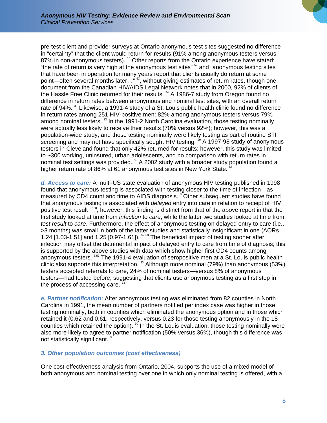pre-test client and provider surveys at Ontario anonymous test sites suggested no difference in "certainty" that the client would return for results (91% among anonymous testers versus 87% in non-anonymous testers). <sup>15</sup> Other reports from the Ontario experience have stated: "the rate of return is very high at the anonymous test sites"  $52$  and "anonymous testing sites that have been in operation for many years report that clients usually do return at some point—often several months later…" <sup>53</sup>, without giving estimates of return rates, though one document from the Canadian HIV/AIDS Legal Network notes that in 2000, 92% of clients of the Hassle Free Clinic returned for their results.<sup>54</sup> A 1986-7 study from Oregon found no difference in return rates between anonymous and nominal test sites, with an overall return rate of 94%. <sup>39</sup> Likewise, a 1991-4 study of a St. Louis public health clinic found no difference in return rates among 251 HIV-positive men: 82% among anonymous testers versus 79% among nominal testers.<sup>33</sup> In the 1991-2 North Carolina evaluation, those testing nominally were actually less likely to receive their results (70% versus 92%); however, this was a population-wide study, and those testing nominally were likely testing as part of routine STI screening and may not have specifically sought HIV testing. <sup>29</sup> A 1997-98 study of anonymous testers in Cleveland found that only 42% returned for results; however, this study was limited to ~300 working, uninsured, urban adolescents, and no comparison with return rates in nominal test settings was provided.<sup>55</sup> A 2002 study with a broader study population found a higher return rate of 86% at 61 anonymous test sites in New York State.<sup>5</sup>

*d. Access to care:* A multi-US state evaluation of anonymous HIV testing published in 1998 found that anonymous testing is associated with testing closer to the time of infection—as measured by CD4 count and time to AIDS diagnosis. <sup>8</sup> Other subsequent studies have found that anonymous testing is associated with *delayed* entry into care in relation to receipt of HIV positive test result <sup>57,58</sup>; however, this finding is distinct from that of the above report in that the first study looked at time from *infection* to *care*, while the latter two studies looked at time from *test result* to *care*. Furthermore, the effect of anonymous testing on delayed entry to care (i.e., >3 months) was small in both of the latter studies and statistically insignificant in one (AORs 1.24 [1.03-1.51] and 1.25 [0.97-1.61]). 57,58 The beneficial impact of testing sooner after infection may offset the detrimental impact of delayed entry to care from time of diagnosis; this is supported by the above studies with data which show higher first CD4 counts among anonymous testers. <sup>8,57</sup> The 1991-4 evaluation of seropositive men at a St. Louis public health clinic also supports this interpretation.  $^{33}$  Although more nominal (79%) than anonymous (53%) testers accepted referrals to care, 24% of nominal testers—versus 8% of anonymous testers—had tested before, suggesting that clients use anonymous testing as a first step in the process of accessing care.

*e. Partner notification:* After anonymous testing was eliminated from 82 counties in North Carolina in 1991, the mean number of partners notified per index case was higher in those testing nominally, both in counties which eliminated the anonymous option and in those which retained it (0.62 and 0.61, respectively, versus 0.23 for those testing anonymously in the 18 counties which retained the option).  $30$  In the St. Louis evaluation, those testing nominally were also more likely to agree to partner notification (50% versus 36%), though this difference was not statistically significant.<sup>33</sup>

# *3. Other population outcomes (cost effectiveness)*

One cost-effectiveness analysis from Ontario, 2004, supports the use of a mixed model of both anonymous and nominal testing over one in which only nominal testing is offered, with a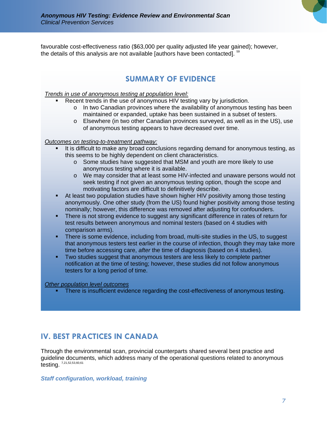favourable cost-effectiveness ratio (\$63,000 per quality adjusted life year gained); however, the details of this analysis are not available [authors have been contacted].  $5$ 

# **SUMMARY OF EVIDENCE**

#### *Trends in use of anonymous testing at population level:*

- Recent trends in the use of anonymous HIV testing vary by jurisdiction.
	- $\circ$  In two Canadian provinces where the availability of anonymous testing has been maintained or expanded, uptake has been sustained in a subset of testers.
	- o Elsewhere (in two other Canadian provinces surveyed, as well as in the US), use of anonymous testing appears to have decreased over time.

#### *Outcomes on testing-to-treatment pathway:*

- It is difficult to make any broad conclusions regarding demand for anonymous testing, as this seems to be highly dependent on client characteristics.
	- $\circ$  Some studies have suggested that MSM and youth are more likely to use anonymous testing where it is available.
	- o We may consider that at least some HIV-infected and unaware persons would not seek testing if not given an anonymous testing option, though the scope and motivating factors are difficult to definitively describe.
- At least two population studies have shown higher HIV positivity among those testing anonymously. One other study (from the US) found higher positivity among those testing nominally; however, this difference was removed after adjusting for confounders.
- There is not strong evidence to suggest any significant difference in rates of return for test results between anonymous and nominal testers (based on 4 studies with comparison arms).
- There is some evidence, including from broad, multi-site studies in the US, to suggest that anonymous testers test earlier in the course of infection, though they may take more time before accessing care, *after* the time of diagnosis (based on 4 studies).
- Two studies suggest that anonymous testers are less likely to complete partner notification at the time of testing; however, these studies did not follow anonymous testers for a long period of time.

#### *Other population level outcomes*

There is insufficient evidence regarding the cost-effectiveness of anonymous testing.

# **IV. BEST PRACTICES IN CANADA**

Through the environmental scan, provincial counterparts shared several best practice and guideline documents, which address many of the operational questions related to anonymous testing. 7,21,52,53,60,61

# *Staff configuration, workload, training*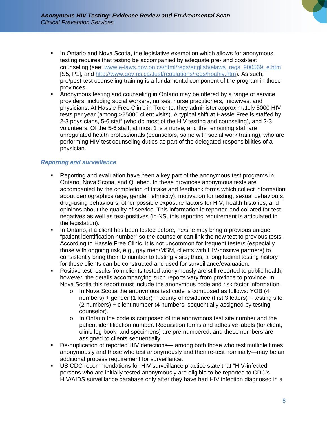- **I.** In Ontario and Nova Scotia, the legislative exemption which allows for anonymous testing requires that testing be accompanied by adequate pre- and post-test counseling (see: www.e-laws.gov.on.ca/html/regs/english/elaws\_regs\_900569\_e.htm [S5, P1], and http://www.gov.ns.ca/Just/regulations/regs/hpahiv.htm). As such, pre/post-test counseling training is a fundamental component of the program in those provinces.
- Anonymous testing and counseling in Ontario may be offered by a range of service providers, including social workers, nurses, nurse practitioners, midwives, and physicians. At Hassle Free Clinic in Toronto, they administer approximately 5000 HIV tests per year (among >25000 client visits). A typical shift at Hassle Free is staffed by 2-3 physicians, 5-6 staff (who do most of the HIV testing and counseling), and 2-3 volunteers. Of the 5-6 staff, at most 1 is a nurse, and the remaining staff are unregulated health professionals (counselors, some with social work training), who are performing HIV test counseling duties as part of the delegated responsibilities of a physician.

# *Reporting and surveillance*

- Reporting and evaluation have been a key part of the anonymous test programs in Ontario, Nova Scotia, and Quebec. In these provinces anonymous tests are accompanied by the completion of intake and feedback forms which collect information about demographics (age, gender, ethnicity), motivation for testing, sexual behaviours, drug-using behaviours, other possible exposure factors for HIV, health histories, and opinions about the quality of service. This information is reported and collated for testnegatives as well as test-positives (in NS, this reporting requirement is articulated in the legislation).
- In Ontario, if a client has been tested before, he/she may bring a previous unique "patient identification number" so the counselor can link the new test to previous tests. According to Hassle Free Clinic, it is not uncommon for frequent testers (especially those with ongoing risk, e.g., gay men/MSM, clients with HIV-positive partners) to consistently bring their ID number to testing visits; thus, a longitudinal testing history for these clients can be constructed and used for surveillance/evaluation.
- **Positive test results from clients tested anonymously are still reported to public health;** however, the details accompanying such reports vary from province to province. In Nova Scotia this report must include the anonymous code and risk factor information.
	- o In Nova Scotia the anonymous test code is composed as follows: YOB (4 numbers) + gender (1 letter) + county of residence (first 3 letters) + testing site (2 numbers) + client number (4 numbers, sequentially assigned by testing counselor).
	- $\circ$  In Ontario the code is composed of the anonymous test site number and the patient identification number. Requisition forms and adhesive labels (for client, clinic log book, and specimens) are pre-numbered, and these numbers are assigned to clients sequentially.
- De-duplication of reported HIV detections— among both those who test multiple times anonymously and those who test anonymously and then re-test nominally—may be an additional process requirement for surveillance.
- US CDC recommendations for HIV surveillance practice state that "HIV-infected persons who are initially tested anonymously are eligible to be reported to CDC's HIV/AIDS surveillance database only after they have had HIV infection diagnosed in a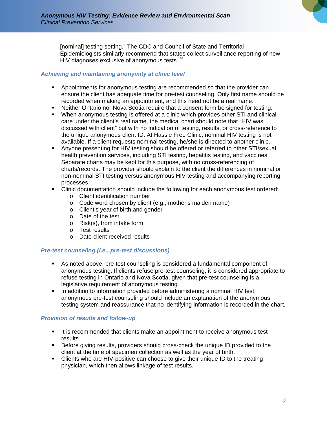[nominal] testing setting." The CDC and Council of State and Territorial Epidemiologists similarly recommend that states collect surveillance reporting of new HIV diagnoses exclusive of anonymous tests. <sup>62</sup>

# *Achieving and maintaining anonymity at clinic level*

- Appointments for anonymous testing are recommended so that the provider can ensure the client has adequate time for pre-test counseling. Only first name should be recorded when making an appointment, and this need not be a real name.
- Neither Ontario nor Nova Scotia require that a consent form be signed for testing.
- When anonymous testing is offered at a clinic which provides other STI and clinical care under the client's real name, the medical chart should note that "HIV was discussed with client" but with no indication of testing, results, or cross-reference to the unique anonymous client ID. At Hassle Free Clinic, nominal HIV testing is not available. If a client requests nominal testing, he/she is directed to another clinic.
- Anyone presenting for HIV testing should be offered or referred to other STI/sexual health prevention services, including STI testing, hepatitis testing, and vaccines. Separate charts may be kept for this purpose, with no cross-referencing of charts/records. The provider should explain to the client the differences in nominal or non-nominal STI testing versus anonymous HIV testing and accompanying reporting processes.
- Clinic documentation should include the following for each anonymous test ordered:
	- o Client identification number
	- o Code word chosen by client (e.g., mother's maiden name)
	- o Client's year of birth and gender
	- o Date of the test
	- o Risk(s), from intake form
	- o Test results
	- o Date client received results

#### *Pre-test counseling (i.e., pre-test discussions)*

- As noted above, pre-test counseling is considered a fundamental component of anonymous testing. If clients refuse pre-test counseling, it is considered appropriate to refuse testing in Ontario and Nova Scotia, given that pre-test counseling is a legislative requirement of anonymous testing.
- In addition to information provided before administering a nominal HIV test, anonymous pre-test counseling should include an explanation of the anonymous testing system and reassurance that no identifying information is recorded in the chart.

# *Provision of results and follow-up*

- It is recommended that clients make an appointment to receive anonymous test results.
- Before giving results, providers should cross-check the unique ID provided to the client at the time of specimen collection as well as the year of birth.
- Clients who are HIV-positive can choose to give their unique ID to the treating physician, which then allows linkage of test results.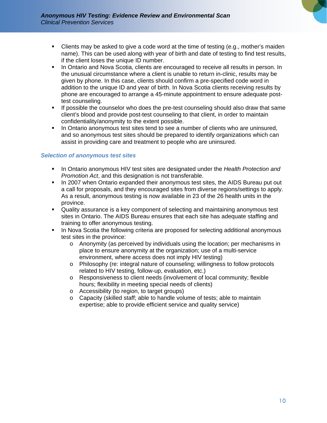

- Clients may be asked to give a code word at the time of testing (e.g., mother's maiden name). This can be used along with year of birth and date of testing to find test results, if the client loses the unique ID number.
- In Ontario and Nova Scotia, clients are encouraged to receive all results in person. In the unusual circumstance where a client is unable to return in-clinic, results may be given by phone. In this case, clients should confirm a pre-specified code word in addition to the unique ID and year of birth. In Nova Scotia clients receiving results by phone are encouraged to arrange a 45-minute appointment to ensure adequate posttest counseling.
- **If possible the counselor who does the pre-test counseling should also draw that same** client's blood and provide post-test counseling to that client, in order to maintain confidentiality/anonymity to the extent possible.
- In Ontario anonymous test sites tend to see a number of clients who are uninsured, and so anonymous test sites should be prepared to identify organizations which can assist in providing care and treatment to people who are uninsured.

#### *Selection of anonymous test sites*

- In Ontario anonymous HIV test sites are designated under the *Health Protection and Promotion Act*, and this designation is not transferable.
- In 2007 when Ontario expanded their anonymous test sites, the AIDS Bureau put out a call for proposals, and they encouraged sites from diverse regions/settings to apply. As a result, anonymous testing is now available in 23 of the 26 health units in the province.
- Quality assurance is a key component of selecting and maintaining anonymous test sites in Ontario. The AIDS Bureau ensures that each site has adequate staffing and training to offer anonymous testing.
- In Nova Scotia the following criteria are proposed for selecting additional anonymous test sites in the province:
	- o Anonymity (as perceived by individuals using the location; per mechanisms in place to ensure anonymity at the organization; use of a multi-service environment, where access does not imply HIV testing)
	- o Philosophy (re: integral nature of counseling; willingness to follow protocols related to HIV testing, follow-up, evaluation, etc.)
	- o Responsiveness to client needs (involvement of local community; flexible hours; flexibility in meeting special needs of clients)
	- o Accessibility (to region, to target groups)
	- o Capacity (skilled staff; able to handle volume of tests; able to maintain expertise; able to provide efficient service and quality service)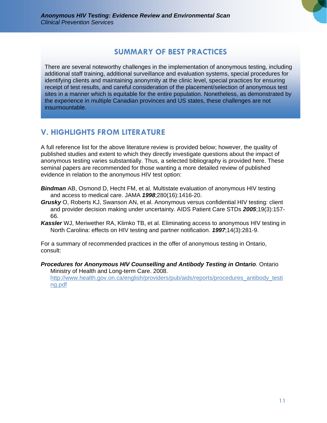# **SUMMARY OF BEST PRACTICES**

There are several noteworthy challenges in the implementation of anonymous testing, including additional staff training, additional surveillance and evaluation systems, special procedures for identifying clients and maintaining anonymity at the clinic level, special practices for ensuring receipt of test results, and careful consideration of the placement/selection of anonymous test sites in a manner which is equitable for the entire population. Nonetheless, as demonstrated by the experience in multiple Canadian provinces and US states, these challenges are not insurmountable.

# **V. HIGHLIGHTS FROM LITERATURE**

A full reference list for the above literature review is provided below; however, the quality of published studies and extent to which they directly investigate questions about the impact of anonymous testing varies substantially. Thus, a selected bibliography is provided here. These seminal papers are recommended for those wanting a more detailed review of published evidence in relation to the anonymous HIV test option:

- *Bindman* AB, Osmond D, Hecht FM, et al. Multistate evaluation of anonymous HIV testing and access to medical care. JAMA *1998*;280(16):1416-20.
- *Grusky* O, Roberts KJ, Swanson AN, et al. Anonymous versus confidential HIV testing: client and provider decision making under uncertainty. AIDS Patient Care STDs *2005*;19(3):157- 66.
- *Kassler* WJ, Meriwether RA, Klimko TB, et al. Eliminating access to anonymous HIV testing in North Carolina: effects on HIV testing and partner notification. *1997*;14(3):281-9.

For a summary of recommended practices in the offer of anonymous testing in Ontario, consult:

*Procedures for Anonymous HIV Counselling and Antibody Testing in Ontario*. Ontario Ministry of Health and Long-term Care. 2008.

http://www.health.gov.on.ca/english/providers/pub/aids/reports/procedures\_antibody\_testi ng.pdf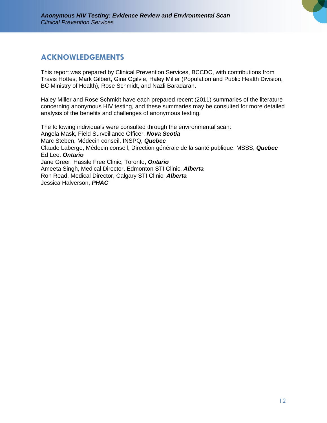# **ACKNOWLEDGEMENTS**

This report was prepared by Clinical Prevention Services, BCCDC, with contributions from Travis Hottes, Mark Gilbert, Gina Ogilvie, Haley Miller (Population and Public Health Division, BC Ministry of Health), Rose Schmidt, and Nazli Baradaran.

Haley Miller and Rose Schmidt have each prepared recent (2011) summaries of the literature concerning anonymous HIV testing, and these summaries may be consulted for more detailed analysis of the benefits and challenges of anonymous testing.

The following individuals were consulted through the environmental scan: Angela Mask, Field Surveillance Officer, *Nova Scotia* Marc Steben, Médecin conseil, INSPQ, *Quebec* Claude Laberge, Médecin conseil, Direction générale de la santé publique, MSSS, *Quebec*  Ed Lee, *Ontario*  Jane Greer, Hassle Free Clinic, Toronto, *Ontario*  Ameeta Singh, Medical Director, Edmonton STI Clinic, *Alberta*  Ron Read, Medical Director, Calgary STI Clinic, *Alberta*  Jessica Halverson, *PHAC*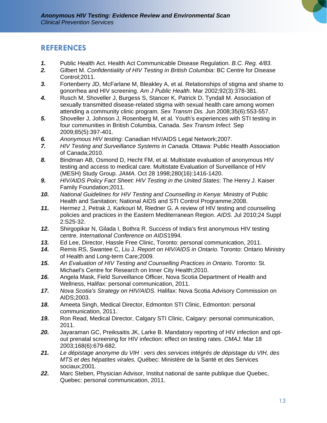# **REFERENCES**

- *1.* Public Health Act. Health Act Communicable Disease Regulation. *B.C. Reg. 4/83*.
- *2.* Gilbert M. *Confidentiality of HIV Testing in British Columbia*: BC Centre for Disease Control;2011.
- *3.* Fortenberry JD, McFarlane M, Bleakley A, et al. Relationships of stigma and shame to gonorrhea and HIV screening. *Am J Public Health.* Mar 2002;92(3):378-381.
- *4.* Rusch M, Shoveller J, Burgess S, Stancer K, Patrick D, Tyndall M. Association of sexually transmitted disease-related stigma with sexual health care among women attending a community clinic program. *Sex Transm Dis.* Jun 2008;35(6):553-557.
- *5.* Shoveller J, Johnson J, Rosenberg M, et al. Youth's experiences with STI testing in four communities in British Columbia, Canada. *Sex Transm Infect.* Sep 2009;85(5):397-401.
- *6. Anonymous HIV testing*: Canadian HIV/AIDS Legal Network;2007.
- *7. HIV Testing and Surveillance Systems in Canada.* Ottawa: Public Health Association of Canada;2010.
- *8.* Bindman AB, Osmond D, Hecht FM, et al. Multistate evaluation of anonymous HIV testing and access to medical care. Multistate Evaluation of Surveillance of HIV (MESH) Study Group. *JAMA.* Oct 28 1998;280(16):1416-1420.
- *9. HIV/AIDS Policy Fact Sheet: HIV Testing in the United States*: The Henry J. Kaiser Family Foundation;2011.
- *10. National Guidelines for HIV Testing and Counselling in Kenya*: Ministry of Public Health and Sanitation; National AIDS and STI Control Programme;2008.
- *11.* Hermez J, Petrak J, Karkouri M, Riedner G. A review of HIV testing and counseling policies and practices in the Eastern Mediterranean Region. *AIDS.* Jul 2010;24 Suppl 2:S25-32.
- *12.* Shirgopikar N, Gilada I, Bothra R. Success of India's first anonymous HIV testing centre. *International Conference on AIDS*1994.
- *13.* Ed Lee, Director, Hassle Free Clinic, Toronto: personal communication, 2011.
- *14.* Remis RS, Swantee C, Liu J. *Report on HIV/AIDS in Ontario.* Toronto: Ontario Ministry of Health and Long-term Care;2009.
- *15. An Evaluation of HIV Testing and Counselling Practices in Ontario.* Toronto: St. Michael's Centre for Research on Inner City Health;2010.
- *16.* Angela Mask, Field Surveillance Officer, Nova Scotia Department of Health and Wellness, Halifax: personal communication, 2011.
- *17. Nova Scotia's Strategy on HIV/AIDS.* Halifax: Nova Scotia Advisory Commission on AIDS;2003.
- *18.* Ameeta Singh, Medical Director, Edmonton STI Clinic, Edmonton: personal communication, 2011.
- *19.* Ron Read, Medical Director, Calgary STI Clinic, Calgary: personal communication, 2011.
- *20.* Jayaraman GC, Preiksaitis JK, Larke B. Mandatory reporting of HIV infection and optout prenatal screening for HIV infection: effect on testing rates. *CMAJ.* Mar 18 2003;168(6):679-682.
- *21. Le dépistage anonyme du VIH : vers des services intégrés de dépistage du VIH, des MTS et des hépatites virales.* Québec: Ministère de la Santé et des Services sociaux;2001.
- *22.* Marc Steben, Physician Advisor, Institut national de sante publique due Quebec, Quebec: personal communication, 2011.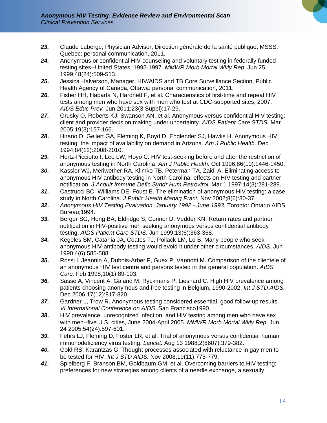- *23.* Claude Laberge, Physician Advisor, Direction générale de la santé publique, MSSS, Quebec: personal communication, 2011.
- *24.* Anonymous or confidential HIV counseling and voluntary testing in federally funded testing sites--United States, 1995-1997. *MMWR Morb Mortal Wkly Rep.* Jun 25 1999;48(24):509-513.
- *25.* Jessica Halverson, Manager, HIV/AIDS and TB Core Surveillance Section, Public Health Agency of Canada, Ottawa: personal communication, 2011.
- *26.* Fisher HH, Habarta N, Hardnett F, et al. Characteristics of first-time and repeat HIV tests among men who have sex with men who test at CDC-supported sites, 2007. *AIDS Educ Prev.* Jun 2011;23(3 Suppl):17-29.
- *27.* Grusky O, Roberts KJ, Swanson AN, et al. Anonymous versus confidential HIV testing: client and provider decision making under uncertainty. *AIDS Patient Care STDS.* Mar 2005;19(3):157-166.
- *28.* Hirano D, Gellert GA, Fleming K, Boyd D, Englender SJ, Hawks H. Anonymous HIV testing: the impact of availability on demand in Arizona. *Am J Public Health.* Dec 1994;84(12):2008-2010.
- *29.* Hertz-Picciotto I, Lee LW, Hoyo C. HIV test-seeking before and after the restriction of anonymous testing in North Carolina. *Am J Public Health.* Oct 1996;86(10):1446-1450.
- *30.* Kassler WJ, Meriwether RA, Klimko TB, Peterman TA, Zaidi A. Eliminating access to anonymous HIV antibody testing in North Carolina: effects on HIV testing and partner notification. *J Acquir Immune Defic Syndr Hum Retrovirol.* Mar 1 1997;14(3):281-289.
- *31.* Castrucci BC, Williams DE, Foust E. The elimination of anonymous HIV testing: a case study in North Carolina. *J Public Health Manag Pract.* Nov 2002;8(6):30-37.
- *32. Anonymous HIV Testing Evaluation, January 1992 June 1993.* Toronto: Ontario AIDS Bureau;1994.
- *33.* Berger SG, Hong BA, Eldridge S, Connor D, Vedder KN. Return rates and partner notification in HIV-positive men seeking anonymous versus confidential antibody testing. *AIDS Patient Care STDS.* Jun 1999;13(6):363-368.
- *34.* Kegeles SM, Catania JA, Coates TJ, Pollack LM, Lo B. Many people who seek anonymous HIV-antibody testing would avoid it under other circumstances. *AIDS.* Jun 1990;4(6):585-588.
- *35.* Rossi I, Jeannin A, Dubois-Arber F, Guex P, Vannotti M. Comparison of the clientele of an anonymous HIV test centre and persons tested in the general population. *AIDS Care.* Feb 1998;10(1):89-103.
- *36.* Sasse A, Vincent A, Galand M, Ryckmans P, Liesnard C. High HIV prevalence among patients choosing anonymous and free testing in Belgium, 1990-2002. *Int J STD AIDS.*  Dec 2006;17(12):817-820.
- *37.* Gardner L, Trow R. Anonymous testing considered essential, good follow-up results. *VI International Conference on AIDS*. San Francisco1990.
- *38.* HIV prevalence, unrecognized infection, and HIV testing among men who have sex with men--five U.S. cities, June 2004-April 2005. *MMWR Morb Mortal Wkly Rep.* Jun 24 2005;54(24):597-601.
- *39.* Fehrs LJ, Fleming D, Foster LR, et al. Trial of anonymous versus confidential human immunodeficiency virus testing. *Lancet.* Aug 13 1988;2(8607):379-382.
- *40.* Gold RS, Karantzas G. Thought processes associated with reluctance in gay men to be tested for HIV. *Int J STD AIDS.* Nov 2008;19(11):775-779.
- *41.* Spielberg F, Branson BM, Goldbaum GM, et al. Overcoming barriers to HIV testing: preferences for new strategies among clients of a needle exchange, a sexually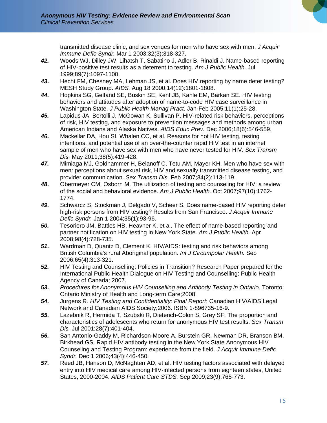transmitted disease clinic, and sex venues for men who have sex with men. *J Acquir Immune Defic Syndr.* Mar 1 2003;32(3):318-327.

- *42.* Woods WJ, Dilley JW, Lihatsh T, Sabatino J, Adler B, Rinaldi J. Name-based reporting of HIV-positive test results as a deterrent to testing. *Am J Public Health.* Jul 1999;89(7):1097-1100.
- *43.* Hecht FM, Chesney MA, Lehman JS, et al. Does HIV reporting by name deter testing? MESH Study Group. *AIDS.* Aug 18 2000;14(12):1801-1808.
- *44.* Hopkins SG, Gelfand SE, Buskin SE, Kent JB, Kahle EM, Barkan SE. HIV testing behaviors and attitudes after adoption of name-to-code HIV case surveillance in Washington State. *J Public Health Manag Pract.* Jan-Feb 2005;11(1):25-28.
- *45.* Lapidus JA, Bertolli J, McGowan K, Sullivan P. HIV-related risk behaviors, perceptions of risk, HIV testing, and exposure to prevention messages and methods among urban American Indians and Alaska Natives. *AIDS Educ Prev.* Dec 2006;18(6):546-559.
- *46.* Mackellar DA, Hou SI, Whalen CC, et al. Reasons for not HIV testing, testing intentions, and potential use of an over-the-counter rapid HIV test in an internet sample of men who have sex with men who have never tested for HIV. *Sex Transm Dis.* May 2011;38(5):419-428.
- *47.* Mimiaga MJ, Goldhammer H, Belanoff C, Tetu AM, Mayer KH. Men who have sex with men: perceptions about sexual risk, HIV and sexually transmitted disease testing, and provider communication. *Sex Transm Dis.* Feb 2007;34(2):113-119.
- *48.* Obermeyer CM, Osborn M. The utilization of testing and counseling for HIV: a review of the social and behavioral evidence. *Am J Public Health.* Oct 2007;97(10):1762- 1774.
- *49.* Schwarcz S, Stockman J, Delgado V, Scheer S. Does name-based HIV reporting deter high-risk persons from HIV testing? Results from San Francisco. *J Acquir Immune Defic Syndr.* Jan 1 2004;35(1):93-96.
- *50.* Tesoriero JM, Battles HB, Heavner K, et al. The effect of name-based reporting and partner notification on HIV testing in New York State. *Am J Public Health.* Apr 2008;98(4):728-735.
- *51.* Wardman D, Quantz D, Clement K. HIV/AIDS: testing and risk behaviors among British Columbia's rural Aboriginal population. *Int J Circumpolar Health.* Sep 2006;65(4):313-321.
- *52.* HIV Testing and Counselling: Policies in Transition? Research Paper prepared for the International Public Health Dialogue on HIV Testing and Counselling: Public Health Agency of Canada; 2007.
- *53. Procedures for Anonymous HIV Counselling and Antibody Testing in Ontario.* Toronto: Ontario Ministry of Health and Long-term Care;2008.
- *54.* Jurgens R. *HIV Testing and Confidentiality: Final Report*: Canadian HIV/AIDS Legal Network and Canadian AIDS Society;2006. ISBN 1-896735-16-9.
- *55.* Lazebnik R, Hermida T, Szubski R, Dieterich-Colon S, Grey SF. The proportion and characteristics of adolescents who return for anonymous HIV test results. *Sex Transm Dis.* Jul 2001;28(7):401-404.
- *56.* San Antonio-Gaddy M, Richardson-Moore A, Burstein GR, Newman DR, Branson BM, Birkhead GS. Rapid HIV antibody testing in the New York State Anonymous HIV Counseling and Testing Program: experience from the field. *J Acquir Immune Defic Syndr.* Dec 1 2006;43(4):446-450.
- *57.* Reed JB, Hanson D, McNaghten AD, et al. HIV testing factors associated with delayed entry into HIV medical care among HIV-infected persons from eighteen states, United States, 2000-2004. *AIDS Patient Care STDS.* Sep 2009;23(9):765-773.